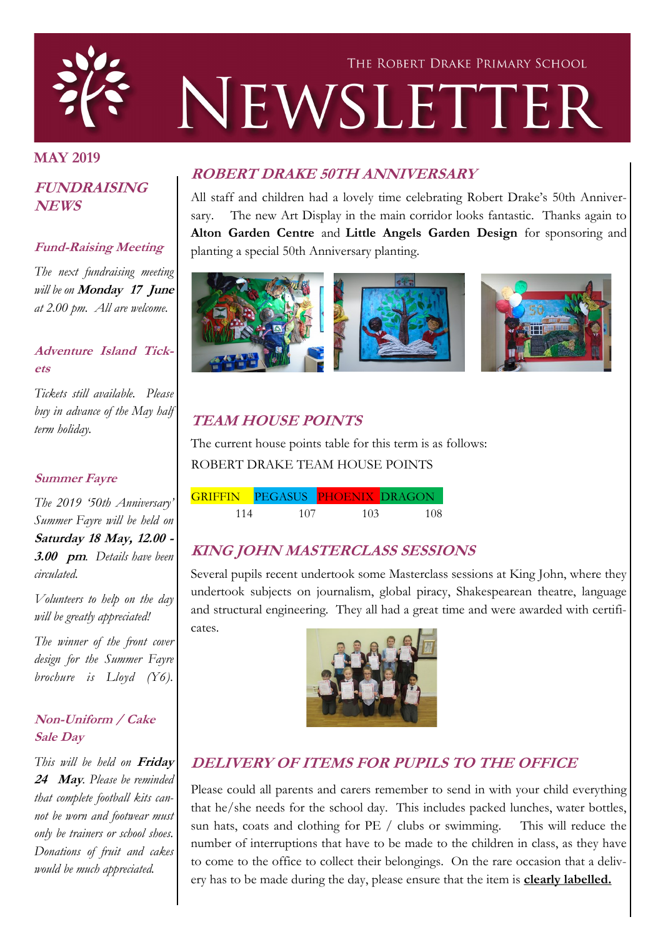

### **MAY 2019**

### **FUNDRAISING NEWS**

### **Fund-Raising Meeting**

*The next fundraising meeting will be on* **Monday 17 June**  *at 2.00 pm. All are welcome.*

### **Adventure Island Tickets**

*Tickets still available. Please buy in advance of the May half term holiday.*

#### **Summer Fayre**

*The 2019 '50th Anniversary' Summer Fayre will be held on*  **Saturday 18 May, 12.00 - 3.00 pm***. Details have been circulated.* 

*Volunteers to help on the day will be greatly appreciated!*

*The winner of the front cover design for the Summer Fayre brochure is Lloyd (Y6).*

### **Non-Uniform / Cake Sale Day**

*This will be held on* **Friday 24 May***. Please be reminded that complete football kits cannot be worn and footwear must only be trainers or school shoes. Donations of fruit and cakes would be much appreciated.* 

# **ROBERT DRAKE 50TH ANNIVERSARY**

All staff and children had a lovely time celebrating Robert Drake's 50th Anniversary. The new Art Display in the main corridor looks fantastic. Thanks again to **Alton Garden Centre** and **Little Angels Garden Design** for sponsoring and planting a special 50th Anniversary planting.



# **TEAM HOUSE POINTS**

The current house points table for this term is as follows: ROBERT DRAKE TEAM HOUSE POINTS

|     | GRIFFIN PEGASUS PHOENIX DRAGON |     |     |
|-----|--------------------------------|-----|-----|
| 114 | 107                            | 103 | 108 |

# **KING JOHN MASTERCLASS SESSIONS**

Several pupils recent undertook some Masterclass sessions at King John, where they undertook subjects on journalism, global piracy, Shakespearean theatre, language and structural engineering. They all had a great time and were awarded with certificates.



# **DELIVERY OF ITEMS FOR PUPILS TO THE OFFICE**

Please could all parents and carers remember to send in with your child everything that he/she needs for the school day. This includes packed lunches, water bottles, sun hats, coats and clothing for PE / clubs or swimming. This will reduce the number of interruptions that have to be made to the children in class, as they have to come to the office to collect their belongings. On the rare occasion that a delivery has to be made during the day, please ensure that the item is **clearly labelled.**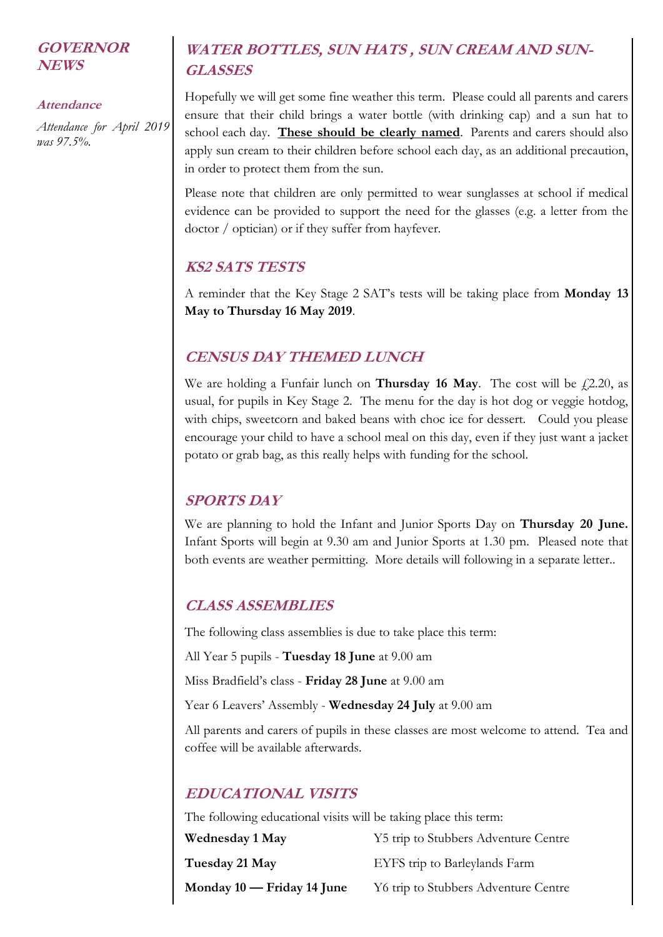### **GOVERNOR NEWS**

#### **Attendance**

*Attendance for April 2019 was 97.5%.* 

# **WATER BOTTLES, SUN HATS , SUN CREAM AND SUN-GLASSES**

Hopefully we will get some fine weather this term. Please could all parents and carers ensure that their child brings a water bottle (with drinking cap) and a sun hat to school each day. **These should be clearly named**. Parents and carers should also apply sun cream to their children before school each day, as an additional precaution, in order to protect them from the sun.

Please note that children are only permitted to wear sunglasses at school if medical evidence can be provided to support the need for the glasses (e.g. a letter from the doctor / optician) or if they suffer from hayfever.

## **KS2 SATS TESTS**

A reminder that the Key Stage 2 SAT's tests will be taking place from **Monday 13 May to Thursday 16 May 2019**.

## **CENSUS DAY THEMED LUNCH**

We are holding a Funfair lunch on **Thursday 16 May**. The cost will be  $f(2.20)$ , as usual, for pupils in Key Stage 2. The menu for the day is hot dog or veggie hotdog, with chips, sweetcorn and baked beans with choc ice for dessert. Could you please encourage your child to have a school meal on this day, even if they just want a jacket potato or grab bag, as this really helps with funding for the school.

## **SPORTS DAY**

We are planning to hold the Infant and Junior Sports Day on **Thursday 20 June.**  Infant Sports will begin at 9.30 am and Junior Sports at 1.30 pm. Pleased note that both events are weather permitting. More details will following in a separate letter..

## **CLASS ASSEMBLIES**

The following class assemblies is due to take place this term:

All Year 5 pupils - **Tuesday 18 June** at 9.00 am

Miss Bradfield's class - **Friday 28 June** at 9.00 am

Year 6 Leavers' Assembly - **Wednesday 24 July** at 9.00 am

All parents and carers of pupils in these classes are most welcome to attend. Tea and coffee will be available afterwards.

# **EDUCATIONAL VISITS**

The following educational visits will be taking place this term:

| Wednesday 1 May              | Y5 trip to Stubbers Adventure Centre |
|------------------------------|--------------------------------------|
| Tuesday 21 May               | EYFS trip to Barleylands Farm        |
| Monday $10$ — Friday 14 June | Y6 trip to Stubbers Adventure Centre |